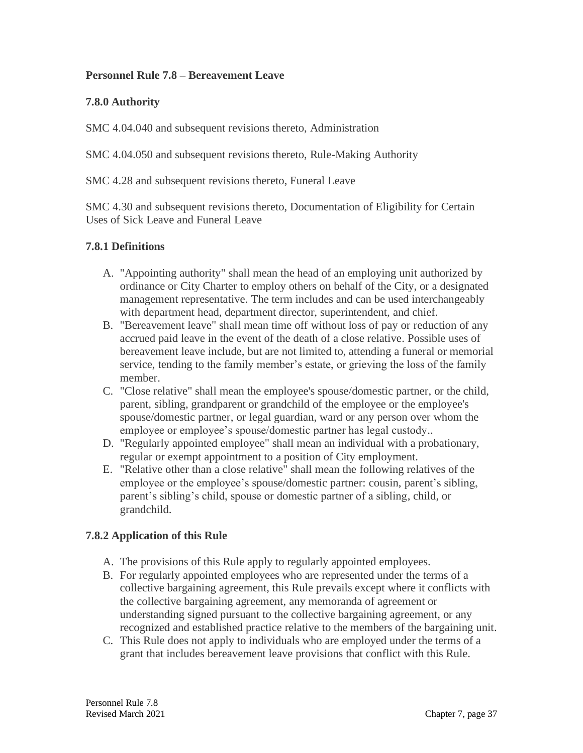### **Personnel Rule 7.8 – Bereavement Leave**

## **7.8.0 Authority**

SMC 4.04.040 and subsequent revisions thereto, Administration

SMC 4.04.050 and subsequent revisions thereto, Rule-Making Authority

SMC 4.28 and subsequent revisions thereto, Funeral Leave

SMC 4.30 and subsequent revisions thereto, Documentation of Eligibility for Certain Uses of Sick Leave and Funeral Leave

## **7.8.1 Definitions**

- A. "Appointing authority" shall mean the head of an employing unit authorized by ordinance or City Charter to employ others on behalf of the City, or a designated management representative. The term includes and can be used interchangeably with department head, department director, superintendent, and chief.
- B. "Bereavement leave" shall mean time off without loss of pay or reduction of any accrued paid leave in the event of the death of a close relative. Possible uses of bereavement leave include, but are not limited to, attending a funeral or memorial service, tending to the family member's estate, or grieving the loss of the family member.
- C. "Close relative" shall mean the employee's spouse/domestic partner, or the child, parent, sibling, grandparent or grandchild of the employee or the employee's spouse/domestic partner, or legal guardian, ward or any person over whom the employee or employee's spouse/domestic partner has legal custody..
- D. "Regularly appointed employee" shall mean an individual with a probationary, regular or exempt appointment to a position of City employment.
- E. "Relative other than a close relative" shall mean the following relatives of the employee or the employee's spouse/domestic partner: cousin, parent's sibling, parent's sibling's child, spouse or domestic partner of a sibling, child, or grandchild.

# **7.8.2 Application of this Rule**

- A. The provisions of this Rule apply to regularly appointed employees.
- B. For regularly appointed employees who are represented under the terms of a collective bargaining agreement, this Rule prevails except where it conflicts with the collective bargaining agreement, any memoranda of agreement or understanding signed pursuant to the collective bargaining agreement, or any recognized and established practice relative to the members of the bargaining unit.
- C. This Rule does not apply to individuals who are employed under the terms of a grant that includes bereavement leave provisions that conflict with this Rule.